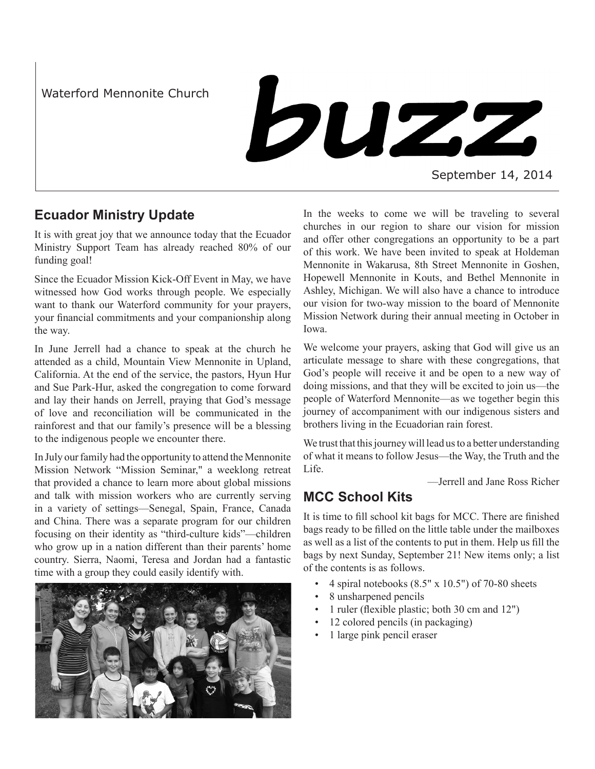Waterford Mennonite Church

buzz

September 14, 2014

### **Ecuador Ministry Update**

It is with great joy that we announce today that the Ecuador Ministry Support Team has already reached 80% of our funding goal!

Since the Ecuador Mission Kick-Off Event in May, we have witnessed how God works through people. We especially want to thank our Waterford community for your prayers, your financial commitments and your companionship along the way.

In June Jerrell had a chance to speak at the church he attended as a child, Mountain View Mennonite in Upland, California. At the end of the service, the pastors, Hyun Hur and Sue Park-Hur, asked the congregation to come forward and lay their hands on Jerrell, praying that God's message of love and reconciliation will be communicated in the rainforest and that our family's presence will be a blessing to the indigenous people we encounter there.

In July our family had the opportunity to attend the Mennonite Mission Network "Mission Seminar," a weeklong retreat that provided a chance to learn more about global missions and talk with mission workers who are currently serving in a variety of settings—Senegal, Spain, France, Canada and China. There was a separate program for our children focusing on their identity as "third-culture kids"—children who grow up in a nation different than their parents' home country. Sierra, Naomi, Teresa and Jordan had a fantastic time with a group they could easily identify with.



In the weeks to come we will be traveling to several churches in our region to share our vision for mission and offer other congregations an opportunity to be a part of this work. We have been invited to speak at Holdeman Mennonite in Wakarusa, 8th Street Mennonite in Goshen, Hopewell Mennonite in Kouts, and Bethel Mennonite in Ashley, Michigan. We will also have a chance to introduce our vision for two-way mission to the board of Mennonite Mission Network during their annual meeting in October in Iowa.

We welcome your prayers, asking that God will give us an articulate message to share with these congregations, that God's people will receive it and be open to a new way of doing missions, and that they will be excited to join us—the people of Waterford Mennonite—as we together begin this journey of accompaniment with our indigenous sisters and brothers living in the Ecuadorian rain forest.

We trust that this journey will lead us to a better understanding of what it means to follow Jesus—the Way, the Truth and the Life.

—Jerrell and Jane Ross Richer

## **MCC School Kits**

It is time to fill school kit bags for MCC. There are finished bags ready to be filled on the little table under the mailboxes as well as a list of the contents to put in them. Help us fill the bags by next Sunday, September 21! New items only; a list of the contents is as follows.

- 4 spiral notebooks  $(8.5" \times 10.5")$  of 70-80 sheets
- 8 unsharpened pencils
- 1 ruler (flexible plastic; both 30 cm and 12")
- 12 colored pencils (in packaging)
- 1 large pink pencil eraser